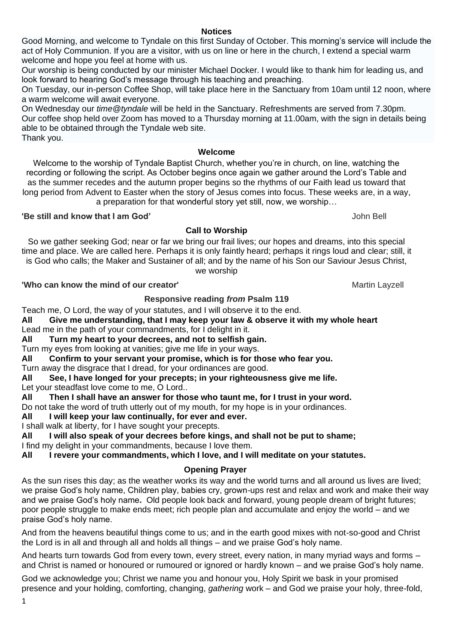**Notices**

Good Morning, and welcome to Tyndale on this first Sunday of October. This morning's service will include the act of Holy Communion. If you are a visitor, with us on line or here in the church, I extend a special warm welcome and hope you feel at home with us.

Our worship is being conducted by our minister Michael Docker. I would like to thank him for leading us, and look forward to hearing God's message through his teaching and preaching.

On Tuesday, our in-person Coffee Shop, will take place here in the Sanctuary from 10am until 12 noon, where a warm welcome will await everyone.

On Wednesday our *time@tyndale* will be held in the Sanctuary. Refreshments are served from 7.30pm. Our coffee shop held over Zoom has moved to a Thursday morning at 11.00am, with the sign in details being able to be obtained through the Tyndale web site. Thank you.

### **Welcome**

Welcome to the worship of Tyndale Baptist Church, whether you're in church, on line, watching the recording or following the script. As October begins once again we gather around the Lord's Table and as the summer recedes and the autumn proper begins so the rhythms of our Faith lead us toward that long period from Advent to Easter when the story of Jesus comes into focus. These weeks are, in a way, a preparation for that wonderful story yet still, now, we worship…

**'Be still and know that I am God'** John Bell

# **Call to Worship**

So we gather seeking God; near or far we bring our frail lives; our hopes and dreams, into this special time and place. We are called here. Perhaps it is only faintly heard; perhaps it rings loud and clear; still, it is God who calls; the Maker and Sustainer of all; and by the name of his Son our Saviour Jesus Christ, we worship

# **'Who can know the mind of our creator'** Martin Layzell **Martin Layzell** Martin Layzell

# **Responsive reading** *from* **Psalm 119**

Teach me, O Lord, the way of your statutes, and I will observe it to the end.

**All Give me understanding, that I may keep your law & observe it with my whole heart**

Lead me in the path of your commandments, for I delight in it.

**All Turn my heart to your decrees, and not to selfish gain.**

Turn my eyes from looking at vanities; give me life in your ways.

**All Confirm to your servant your promise, which is for those who fear you.**

Turn away the disgrace that I dread, for your ordinances are good.

**All See, I have longed for your precepts; in your righteousness give me life.**

Let your steadfast love come to me, O Lord..

**All Then I shall have an answer for those who taunt me, for I trust in your word.**

Do not take the word of truth utterly out of my mouth, for my hope is in your ordinances.

**All I will keep your law continually, for ever and ever.**

I shall walk at liberty, for I have sought your precepts.

**All I will also speak of your decrees before kings, and shall not be put to shame;** I find my delight in your commandments, because I love them.

**All I revere your commandments, which I love, and I will meditate on your statutes.**

# **Opening Prayer**

As the sun rises this day; as the weather works its way and the world turns and all around us lives are lived; we praise God's holy name, Children play, babies cry, grown-ups rest and relax and work and make their way and we praise God's holy name**.** Old people look back and forward, young people dream of bright futures; poor people struggle to make ends meet; rich people plan and accumulate and enjoy the world – and we praise God's holy name.

And from the heavens beautiful things come to us; and in the earth good mixes with not-so-good and Christ the Lord is in all and through all and holds all things – and we praise God's holy name.

And hearts turn towards God from every town, every street, every nation, in many myriad ways and forms – and Christ is named or honoured or rumoured or ignored or hardly known – and we praise God's holy name.

God we acknowledge you; Christ we name you and honour you, Holy Spirit we bask in your promised presence and your holding, comforting, changing, *gathering* work – and God we praise your holy, three-fold,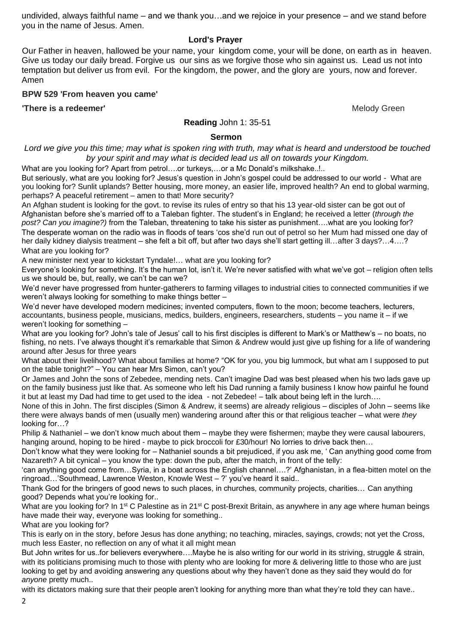undivided, always faithful name – and we thank you…and we rejoice in your presence – and we stand before you in the name of Jesus. Amen.

**Lord's Prayer**

Our Father in heaven, hallowed be your name, your kingdom come, your will be done, on earth as in heaven. Give us today our daily bread. Forgive us our sins as we forgive those who sin against us. Lead us not into temptation but deliver us from evil. For the kingdom, the power, and the glory are yours, now and forever. Amen

### **BPW 529 'From heaven you came'**

**There is a redeemer' Melody Green Melody Green Melody Green Melody Green** 

#### **Reading** John 1: 35-51

#### **Sermon**

Lord we give you this time; may what is spoken ring with truth, may what is heard and understood be touched *by your spirit and may what is decided lead us all on towards your Kingdom.*

What are you looking for? Apart from petrol....or turkeys,...or a Mc Donald's milkshake..!..

But seriously, what are you looking for? Jesus's question in John's gospel could be addressed to our world - What are you looking for? Sunlit uplands? Better housing, more money, an easier life, improved health? An end to global warming, perhaps? A peaceful retirement – amen to that! More security?

An Afghan student is looking for the govt. to revise its rules of entry so that his 13 year-old sister can be got out of Afghanistan before she's married off to a Taleban fighter. The student's in England; he received a letter (*through the post? Can you imagine?)* from the Taleban, threatening to take his sister as punishment….what are you looking for? The desperate woman on the radio was in floods of tears 'cos she'd run out of petrol so her Mum had missed one day of her daily kidney dialysis treatment – she felt a bit off, but after two days she'll start getting ill…after 3 days?…4….? What are you looking for?

A new minister next year to kickstart Tyndale!… what are you looking for?

Everyone's looking for something. It's the human lot, isn't it. We're never satisfied with what we've got – religion often tells us we should be, but, really, we can't be can we?

We'd never have progressed from hunter-gatherers to farming villages to industrial cities to connected communities if we weren't always looking for something to make things better –

We'd never have developed modern medicines; invented computers, flown to the moon; become teachers, lecturers, accountants, business people, musicians, medics, builders, engineers, researchers, students – you name it – if we weren't looking for something –

What are you looking for? John's tale of Jesus' call to his first disciples is different to Mark's or Matthew's – no boats, no fishing, no nets. I've always thought it's remarkable that Simon & Andrew would just give up fishing for a life of wandering around after Jesus for three years

What about their livelihood? What about families at home? "OK for you, you big lummock, but what am I supposed to put on the table tonight?" – You can hear Mrs Simon, can't you?

Or James and John the sons of Zebedee, mending nets. Can't imagine Dad was best pleased when his two lads gave up on the family business just like that. As someone who left his Dad running a family business I know how painful he found it but at least my Dad had time to get used to the idea - not Zebedee! – talk about being left in the lurch….

None of this in John. The first disciples (Simon & Andrew, it seems) are already religious – disciples of John – seems like there were always bands of men (usually men) wandering around after this or that religious teacher – what were *they* looking for…?

Philip & Nathaniel – we don't know much about them – maybe they were fishermen; maybe they were causal labourers, hanging around, hoping to be hired - maybe to pick broccoli for £30/hour! No lorries to drive back then...

Don't know what they were looking for – Nathaniel sounds a bit prejudiced, if you ask me, ' Can anything good come from Nazareth? A bit cynical – you know the type: down the pub, after the match, in front of the telly:

'can anything good come from…Syria, in a boat across the English channel….?' Afghanistan, in a flea-bitten motel on the ringroad…'Southmead, Lawrence Weston, Knowle West – ?' you've heard it said..

Thank God for the bringers of good news to such places, in churches, community projects, charities… Can anything good? Depends what you're looking for..

What are you looking for? In 1<sup>st</sup> C Palestine as in 21<sup>st</sup> C post-Brexit Britain, as anywhere in any age where human beings have made their way, everyone was looking for something..

What are you looking for?

This is early on in the story, before Jesus has done anything; no teaching, miracles, sayings, crowds; not yet the Cross, much less Easter, no reflection on any of what it all might mean

But John writes for us..for believers everywhere….Maybe he is also writing for our world in its striving, struggle & strain, with its politicians promising much to those with plenty who are looking for more & delivering little to those who are just looking to get by and avoiding answering any questions about why they haven't done as they said they would do for *anyone* pretty much..

with its dictators making sure that their people aren't looking for anything more than what they're told they can have..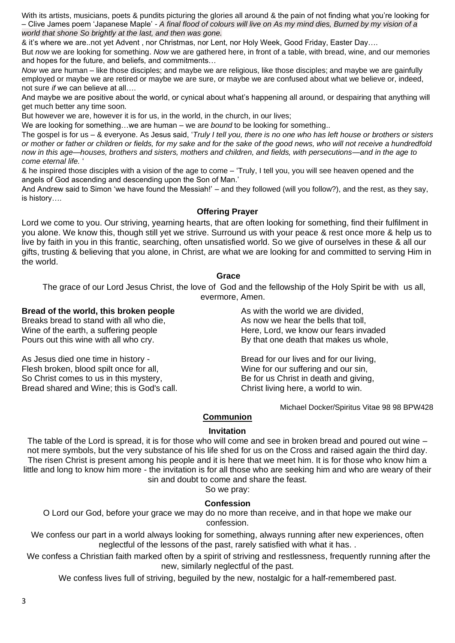With its artists, musicians, poets & pundits picturing the glories all around & the pain of not finding what you're looking for – Clive James poem 'Japanese Maple' - *A final flood of colours will live on As my mind dies, Burned by my vision of a world that shone So brightly at the last, and then was gone.*

& it's where we are..not yet Advent , nor Christmas, nor Lent, nor Holy Week, Good Friday, Easter Day….

But *now* we are looking for something. *Now* we are gathered here, in front of a table, with bread, wine, and our memories and hopes for the future, and beliefs, and commitments…

*Now* we are human – like those disciples; and maybe we are religious, like those disciples; and maybe we are gainfully employed or maybe we are retired or maybe we are sure, or maybe we are confused about what we believe or, indeed, not sure *if* we can believe at all….

And maybe we are positive about the world, or cynical about what's happening all around, or despairing that anything will get much better any time soon.

But however we are, however it is for us, in the world, in the church, in our lives;

We are looking for something…we are human – we are *bound* to be looking for something..

The gospel is for us – & everyone. As Jesus said, '*Truly I tell you, there is no one who has left house or brothers or sisters or mother or father or children or fields, for my sake and for the sake of the good news, who will not receive a hundredfold now in this age—houses, brothers and sisters, mothers and children, and fields, with persecutions—and in the age to come eternal life.* '

& he inspired those disciples with a vision of the age to come – 'Truly, I tell you, you will see heaven opened and the angels of God ascending and descending upon the Son of Man.'

And Andrew said to Simon 'we have found the Messiah!' – and they followed (will you follow?), and the rest, as they say, is history….

#### **Offering Prayer**

Lord we come to you. Our striving, yearning hearts, that are often looking for something, find their fulfilment in you alone. We know this, though still yet we strive. Surround us with your peace & rest once more & help us to live by faith in you in this frantic, searching, often unsatisfied world. So we give of ourselves in these & all our gifts, trusting & believing that you alone, in Christ, are what we are looking for and committed to serving Him in the world.

#### **Grace**

The grace of our Lord Jesus Christ, the love of God and the fellowship of the Holy Spirit be with us all, evermore, Amen.

#### **Bread of the world, this broken people**

Breaks bread to stand with all who die, Wine of the earth, a suffering people Pours out this wine with all who cry.

As Jesus died one time in history - Flesh broken, blood spilt once for all, So Christ comes to us in this mystery, Bread shared and Wine; this is God's call. As with the world we are divided, As now we hear the bells that toll, Here, Lord, we know our fears invaded By that one death that makes us whole,

Bread for our lives and for our living, Wine for our suffering and our sin, Be for us Christ in death and giving, Christ living here, a world to win.

Michael Docker/Spiritus Vitae 98 98 BPW428

#### **Communion**

#### **Invitation**

The table of the Lord is spread, it is for those who will come and see in broken bread and poured out wine – not mere symbols, but the very substance of his life shed for us on the Cross and raised again the third day. The risen Christ is present among his people and it is here that we meet him. It is for those who know him a little and long to know him more - the invitation is for all those who are seeking him and who are weary of their sin and doubt to come and share the feast.

So we pray:

# **Confession**

O Lord our God, before your grace we may do no more than receive, and in that hope we make our confession.

We confess our part in a world always looking for something, always running after new experiences, often neglectful of the lessons of the past, rarely satisfied with what it has. .

We confess a Christian faith marked often by a spirit of striving and restlessness, frequently running after the new, similarly neglectful of the past.

We confess lives full of striving, beguiled by the new, nostalgic for a half-remembered past.